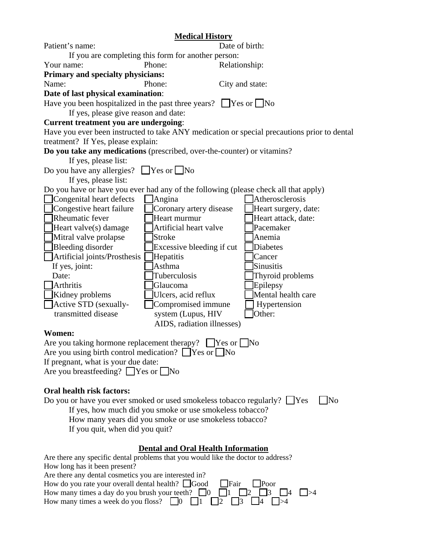|                                                                                                                  | <b>Medical History</b>                    |                                                                                             |  |
|------------------------------------------------------------------------------------------------------------------|-------------------------------------------|---------------------------------------------------------------------------------------------|--|
| Patient's name:                                                                                                  |                                           | Date of birth:                                                                              |  |
| If you are completing this form for another person:                                                              |                                           |                                                                                             |  |
| Your name:                                                                                                       | Phone:                                    | Relationship:                                                                               |  |
| <b>Primary and specialty physicians:</b>                                                                         |                                           |                                                                                             |  |
| Name:                                                                                                            | Phone:                                    | City and state:                                                                             |  |
| Date of last physical examination:                                                                               |                                           |                                                                                             |  |
| Have you been hospitalized in the past three years? $\Box$ Yes or $\Box$ No                                      |                                           |                                                                                             |  |
| If yes, please give reason and date:                                                                             |                                           |                                                                                             |  |
| <b>Current treatment you are undergoing:</b>                                                                     |                                           |                                                                                             |  |
|                                                                                                                  |                                           | Have you ever been instructed to take ANY medication or special precautions prior to dental |  |
| treatment? If Yes, please explain:                                                                               |                                           |                                                                                             |  |
| Do you take any medications (prescribed, over-the-counter) or vitamins?                                          |                                           |                                                                                             |  |
| If yes, please list:                                                                                             |                                           |                                                                                             |  |
| Do you have any allergies?                                                                                       | $\Box$ Yes or $\Box$ No                   |                                                                                             |  |
| If yes, please list:                                                                                             |                                           |                                                                                             |  |
|                                                                                                                  |                                           | Do you have or have you ever had any of the following (please check all that apply)         |  |
| Congenital heart defects                                                                                         | Angina                                    | Atherosclerosis                                                                             |  |
| $\Box$ Congestive heart failure                                                                                  | Coronary artery disease                   | Heart surgery, date:                                                                        |  |
| $\Box$ Rheumatic fever                                                                                           | Heart murmur                              | Heart attack, date:                                                                         |  |
| $\Box$ Heart valve(s) damage                                                                                     | Artificial heart valve                    | Pacemaker                                                                                   |  |
| Mitral valve prolapse                                                                                            | <b>Stroke</b>                             | Anemia                                                                                      |  |
| Bleeding disorder                                                                                                | Excessive bleeding if cut                 | Diabetes                                                                                    |  |
| Artificial joints/Prosthesis                                                                                     | Hepatitis                                 | Cancer                                                                                      |  |
| If yes, joint:                                                                                                   | Asthma                                    | <b>Sinusitis</b>                                                                            |  |
| Date:                                                                                                            | Tuberculosis                              | Thyroid problems                                                                            |  |
| Arthritis                                                                                                        | Glaucoma                                  | Epilepsy                                                                                    |  |
| Kidney problems                                                                                                  | Ulcers, acid reflux                       | Mental health care                                                                          |  |
| Active STD (sexually-                                                                                            | Compromised immune                        | Hypertension                                                                                |  |
| transmitted disease                                                                                              | system (Lupus, HIV                        | Other:                                                                                      |  |
|                                                                                                                  | AIDS, radiation illnesses)                |                                                                                             |  |
| Women:                                                                                                           |                                           |                                                                                             |  |
| Are you taking hormone replacement therapy? $\Box$ Yes or $\Box$ No                                              |                                           |                                                                                             |  |
| Are you using birth control medication? $\Box$ Yes or $\Box$ No                                                  |                                           |                                                                                             |  |
| If pregnant, what is your due date:                                                                              |                                           |                                                                                             |  |
| Are you breastfeeding? $\Box$ Yes or $\Box$ No                                                                   |                                           |                                                                                             |  |
|                                                                                                                  |                                           |                                                                                             |  |
| <b>Oral health risk factors:</b>                                                                                 |                                           |                                                                                             |  |
| Do you or have you ever smoked or used smokeless tobacco regularly? ∐Yes<br>$\overline{\text{No}}$               |                                           |                                                                                             |  |
| If yes, how much did you smoke or use smokeless tobacco?                                                         |                                           |                                                                                             |  |
| How many years did you smoke or use smokeless tobacco?                                                           |                                           |                                                                                             |  |
| If you quit, when did you quit?                                                                                  |                                           |                                                                                             |  |
|                                                                                                                  |                                           |                                                                                             |  |
|                                                                                                                  | <b>Dental and Oral Health Information</b> |                                                                                             |  |
| Are there any specific dental problems that you would like the doctor to address?                                |                                           |                                                                                             |  |
| How long has it been present?                                                                                    |                                           |                                                                                             |  |
| Are there any dental cosmetics you are interested in?<br>How do you rate your overall dental health? $\Box$ Good |                                           | <b>T</b> Fair<br>Poor                                                                       |  |
| How many times a day do you brush your teeth? $\Box$ 0                                                           |                                           | 3<br>$\Box$ 4<br>$\vert \vert > 4$                                                          |  |
| How many times a week do you floss?                                                                              | $\vert 0 \vert$                           |                                                                                             |  |